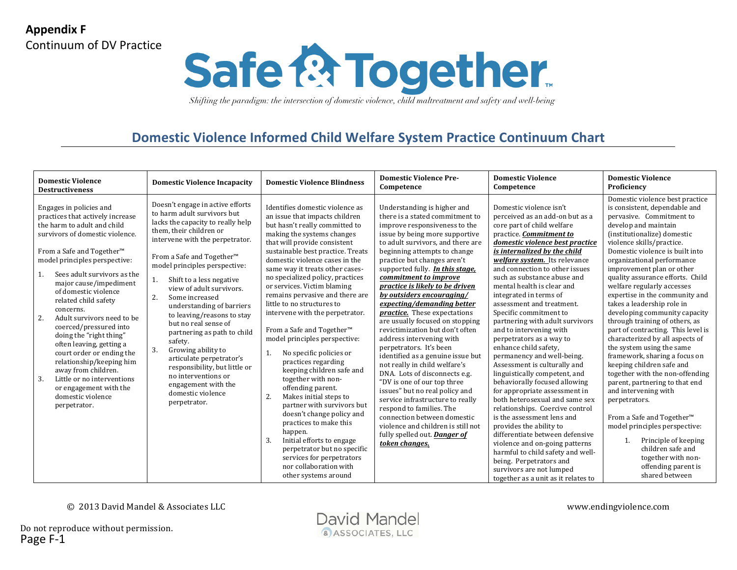

## **Domestic Violence Informed Child Welfare System Practice Continuum Chart**

| <b>Domestic Violence</b><br><b>Destructiveness</b>                                                                                                                                                                                                                                                                                                                                                                                                                                                                                                                                                                                    | <b>Domestic Violence Incapacity</b>                                                                                                                                                                                                                                                                                                                                                                                                                                                                                                                                                                                                         | <b>Domestic Violence Blindness</b>                                                                                                                                                                                                                                                                                                                                                                                                                                                                                                                                                                                                                                                                                                                                                                                                                                                                                                            | <b>Domestic Violence Pre-</b><br>Competence                                                                                                                                                                                                                                                                                                                                                                                                                                                                                                                                                                                                                                                                                                                                                                                                                                                                                               | <b>Domestic Violence</b><br>Competence                                                                                                                                                                                                                                                                                                                                                                                                                                                                                                                                                                                                                                                                                                                                                                                                                                                                                                                                                                                            | <b>Domestic Violence</b><br>Proficiency                                                                                                                                                                                                                                                                                                                                                                                                                                                                                                                                                                                                                                                                                                                                                                                                                                                                                                         |
|---------------------------------------------------------------------------------------------------------------------------------------------------------------------------------------------------------------------------------------------------------------------------------------------------------------------------------------------------------------------------------------------------------------------------------------------------------------------------------------------------------------------------------------------------------------------------------------------------------------------------------------|---------------------------------------------------------------------------------------------------------------------------------------------------------------------------------------------------------------------------------------------------------------------------------------------------------------------------------------------------------------------------------------------------------------------------------------------------------------------------------------------------------------------------------------------------------------------------------------------------------------------------------------------|-----------------------------------------------------------------------------------------------------------------------------------------------------------------------------------------------------------------------------------------------------------------------------------------------------------------------------------------------------------------------------------------------------------------------------------------------------------------------------------------------------------------------------------------------------------------------------------------------------------------------------------------------------------------------------------------------------------------------------------------------------------------------------------------------------------------------------------------------------------------------------------------------------------------------------------------------|-------------------------------------------------------------------------------------------------------------------------------------------------------------------------------------------------------------------------------------------------------------------------------------------------------------------------------------------------------------------------------------------------------------------------------------------------------------------------------------------------------------------------------------------------------------------------------------------------------------------------------------------------------------------------------------------------------------------------------------------------------------------------------------------------------------------------------------------------------------------------------------------------------------------------------------------|-----------------------------------------------------------------------------------------------------------------------------------------------------------------------------------------------------------------------------------------------------------------------------------------------------------------------------------------------------------------------------------------------------------------------------------------------------------------------------------------------------------------------------------------------------------------------------------------------------------------------------------------------------------------------------------------------------------------------------------------------------------------------------------------------------------------------------------------------------------------------------------------------------------------------------------------------------------------------------------------------------------------------------------|-------------------------------------------------------------------------------------------------------------------------------------------------------------------------------------------------------------------------------------------------------------------------------------------------------------------------------------------------------------------------------------------------------------------------------------------------------------------------------------------------------------------------------------------------------------------------------------------------------------------------------------------------------------------------------------------------------------------------------------------------------------------------------------------------------------------------------------------------------------------------------------------------------------------------------------------------|
| Engages in policies and<br>practices that actively increase<br>the harm to adult and child<br>survivors of domestic violence.<br>From a Safe and Together <sup>™</sup><br>model principles perspective:<br>Sees adult survivors as the<br>major cause/impediment<br>of domestic violence<br>related child safety<br>concerns.<br>2.<br>Adult survivors need to be<br>coerced/pressured into<br>doing the "right thing"<br>often leaving, getting a<br>court order or ending the<br>relationship/keeping him<br>away from children.<br>3.<br>Little or no interventions<br>or engagement with the<br>domestic violence<br>perpetrator. | Doesn't engage in active efforts<br>to harm adult survivors but<br>lacks the capacity to really help<br>them, their children or<br>intervene with the perpetrator.<br>From a Safe and Together <sup>™</sup><br>model principles perspective:<br>Shift to a less negative<br>1.<br>view of adult survivors.<br>2.<br>Some increased<br>understanding of barriers<br>to leaving/reasons to stay<br>but no real sense of<br>partnering as path to child<br>safety.<br>3.<br>Growing ability to<br>articulate perpetrator's<br>responsibility, but little or<br>no interventions or<br>engagement with the<br>domestic violence<br>perpetrator. | Identifies domestic violence as<br>an issue that impacts children<br>but hasn't really committed to<br>making the systems changes<br>that will provide consistent<br>sustainable best practice. Treats<br>domestic violence cases in the<br>same way it treats other cases-<br>no specialized policy, practices<br>or services. Victim blaming<br>remains pervasive and there are<br>little to no structures to<br>intervene with the perpetrator.<br>From a Safe and Together <sup>™</sup><br>model principles perspective:<br>No specific policies or<br>1.<br>practices regarding<br>keeping children safe and<br>together with non-<br>offending parent.<br>2.<br>Makes initial steps to<br>partner with survivors but<br>doesn't change policy and<br>practices to make this<br>happen.<br>3.<br>Initial efforts to engage<br>perpetrator but no specific<br>services for perpetrators<br>nor collaboration with<br>other systems around | Understanding is higher and<br>there is a stated commitment to<br>improve responsiveness to the<br>issue by being more supportive<br>to adult survivors, and there are<br>beginning attempts to change<br>practice but changes aren't<br>supported fully. In this stage,<br>commitment to improve<br>practice is likely to be driven<br>by outsiders encouraging/<br>expecting/demanding better<br><i>practice.</i> These expectations<br>are usually focused on stopping<br>revictimization but don't often<br>address intervening with<br>perpetrators. It's been<br>identified as a genuine issue but<br>not really in child welfare's<br>DNA. Lots of disconnects e.g.<br>"DV is one of our top three<br>issues" but no real policy and<br>service infrastructure to really<br>respond to families. The<br>connection between domestic<br>violence and children is still not<br>fully spelled out. <b>Danger of</b><br>token changes. | Domestic violence isn't<br>perceived as an add-on but as a<br>core part of child welfare<br>practice. Commitment to<br>domestic violence best practice<br>is internalized by the child<br>welfare system. Its relevance<br>and connection to other issues<br>such as substance abuse and<br>mental health is clear and<br>integrated in terms of<br>assessment and treatment.<br>Specific commitment to<br>partnering with adult survivors<br>and to intervening with<br>perpetrators as a way to<br>enhance child safety.<br>permanency and well-being.<br>Assessment is culturally and<br>linguistically competent, and<br>behaviorally focused allowing<br>for appropriate assessment in<br>both heterosexual and same sex<br>relationships. Coercive control<br>is the assessment lens and<br>provides the ability to<br>differentiate between defensive<br>violence and on-going patterns<br>harmful to child safety and well-<br>being. Perpetrators and<br>survivors are not lumped<br>together as a unit as it relates to | Domestic violence best practice<br>is consistent, dependable and<br>pervasive. Commitment to<br>develop and maintain<br>(institutionalize) domestic<br>violence skills/practice.<br>Domestic violence is built into<br>organizational performance<br>improvement plan or other<br>quality assurance efforts. Child<br>welfare regularly accesses<br>expertise in the community and<br>takes a leadership role in<br>developing community capacity<br>through training of others, as<br>part of contracting. This level is<br>characterized by all aspects of<br>the system using the same<br>framework, sharing a focus on<br>keeping children safe and<br>together with the non-offending<br>parent, partnering to that end<br>and intervening with<br>perpetrators.<br>From a Safe and Together™<br>model principles perspective:<br>Principle of keeping<br>children safe and<br>together with non-<br>offending parent is<br>shared between |

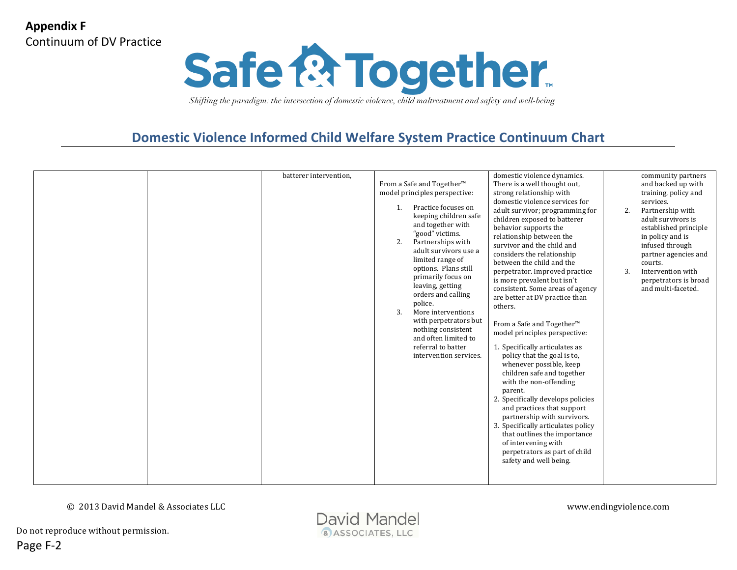

## **Domestic Violence Informed Child Welfare System Practice Continuum Chart**

|  | batterer intervention, | From a Safe and Together <sup>™</sup><br>model principles perspective:<br>Practice focuses on<br>1.<br>keeping children safe<br>and together with<br>"good" victims.<br>2.<br>Partnerships with<br>adult survivors use a<br>limited range of<br>options. Plans still | domestic violence dynamics.<br>There is a well thought out,<br>strong relationship with<br>domestic violence services for<br>adult survivor; programming for<br>children exposed to batterer<br>behavior supports the<br>relationship between the<br>survivor and the child and<br>considers the relationship<br>between the child and the<br>perpetrator. Improved practice                                                                                                                                                                                                                                    | community partners<br>and backed up with<br>training, policy and<br>services.<br>2.<br>Partnership with<br>adult survivors is<br>established principle<br>in policy and is<br>infused through<br>partner agencies and<br>courts.<br>3.<br>Intervention with |
|--|------------------------|----------------------------------------------------------------------------------------------------------------------------------------------------------------------------------------------------------------------------------------------------------------------|-----------------------------------------------------------------------------------------------------------------------------------------------------------------------------------------------------------------------------------------------------------------------------------------------------------------------------------------------------------------------------------------------------------------------------------------------------------------------------------------------------------------------------------------------------------------------------------------------------------------|-------------------------------------------------------------------------------------------------------------------------------------------------------------------------------------------------------------------------------------------------------------|
|  |                        | primarily focus on<br>leaving, getting<br>orders and calling<br>police.<br>More interventions<br>3.<br>with perpetrators but<br>nothing consistent<br>and often limited to<br>referral to batter<br>intervention services.                                           | is more prevalent but isn't<br>consistent. Some areas of agency<br>are better at DV practice than<br>others.<br>From a Safe and Together <sup>™</sup><br>model principles perspective:<br>1. Specifically articulates as<br>policy that the goal is to,<br>whenever possible, keep<br>children safe and together<br>with the non-offending<br>parent.<br>2. Specifically develops policies<br>and practices that support<br>partnership with survivors.<br>3. Specifically articulates policy<br>that outlines the importance<br>of intervening with<br>perpetrators as part of child<br>safety and well being. | perpetrators is broad<br>and multi-faceted.                                                                                                                                                                                                                 |

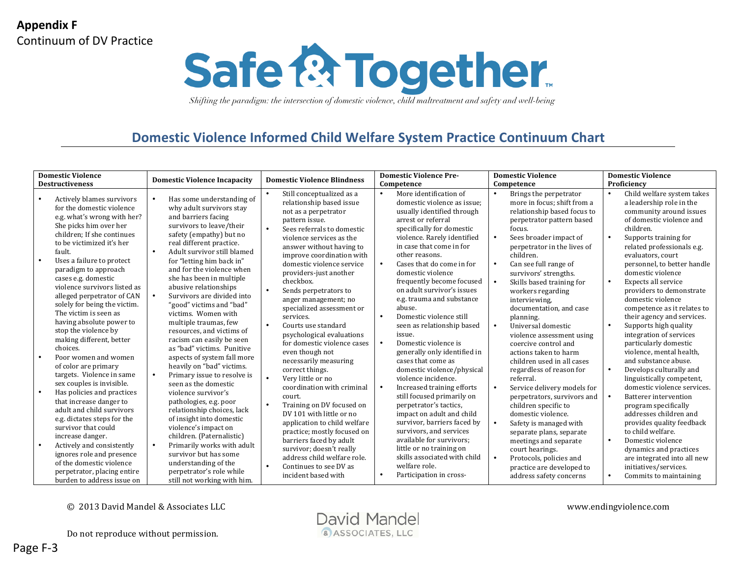

### **Domestic Violence Informed Child Welfare System Practice Continuum Chart**

| <b>Destructiveness</b>                                                                                                                                                                                                                                                                                                                                                                                                                                                                                                                                                                                                                                                                                                                                                                                                                                                                                                                                                                                                                                                                                                                                                                                                                                                                                                                                                                                                                                                                                                                                                                                                                                                                                                                                                                                                                                                                                                                         | <b>Domestic Violence Incapacity</b>                                                                                                                                                                                                                                                                                                                                                                                                                                                                                                                                                                                                                                                                                                                                                                                                                             | <b>Domestic Violence Pre-</b>                                                                                                                                                                                                                                                                                                                                                                                                                                                                                                                                                                                                                                                                                                                                                                                                                                                                                            | <b>Domestic Violence</b>                                                                                                                                                                                                                                                                                                                                                                                                                                                                                                                                                                                                                                                                                                                                                                                                                                                                                                                           | <b>Domestic Violence</b>                                                                                                                                                                                                                                                                                                                                                                                                                                                                                                                                                                                                                                                                                                                                                                                                                                                              |  |
|------------------------------------------------------------------------------------------------------------------------------------------------------------------------------------------------------------------------------------------------------------------------------------------------------------------------------------------------------------------------------------------------------------------------------------------------------------------------------------------------------------------------------------------------------------------------------------------------------------------------------------------------------------------------------------------------------------------------------------------------------------------------------------------------------------------------------------------------------------------------------------------------------------------------------------------------------------------------------------------------------------------------------------------------------------------------------------------------------------------------------------------------------------------------------------------------------------------------------------------------------------------------------------------------------------------------------------------------------------------------------------------------------------------------------------------------------------------------------------------------------------------------------------------------------------------------------------------------------------------------------------------------------------------------------------------------------------------------------------------------------------------------------------------------------------------------------------------------------------------------------------------------------------------------------------------------|-----------------------------------------------------------------------------------------------------------------------------------------------------------------------------------------------------------------------------------------------------------------------------------------------------------------------------------------------------------------------------------------------------------------------------------------------------------------------------------------------------------------------------------------------------------------------------------------------------------------------------------------------------------------------------------------------------------------------------------------------------------------------------------------------------------------------------------------------------------------|--------------------------------------------------------------------------------------------------------------------------------------------------------------------------------------------------------------------------------------------------------------------------------------------------------------------------------------------------------------------------------------------------------------------------------------------------------------------------------------------------------------------------------------------------------------------------------------------------------------------------------------------------------------------------------------------------------------------------------------------------------------------------------------------------------------------------------------------------------------------------------------------------------------------------|----------------------------------------------------------------------------------------------------------------------------------------------------------------------------------------------------------------------------------------------------------------------------------------------------------------------------------------------------------------------------------------------------------------------------------------------------------------------------------------------------------------------------------------------------------------------------------------------------------------------------------------------------------------------------------------------------------------------------------------------------------------------------------------------------------------------------------------------------------------------------------------------------------------------------------------------------|---------------------------------------------------------------------------------------------------------------------------------------------------------------------------------------------------------------------------------------------------------------------------------------------------------------------------------------------------------------------------------------------------------------------------------------------------------------------------------------------------------------------------------------------------------------------------------------------------------------------------------------------------------------------------------------------------------------------------------------------------------------------------------------------------------------------------------------------------------------------------------------|--|
|                                                                                                                                                                                                                                                                                                                                                                                                                                                                                                                                                                                                                                                                                                                                                                                                                                                                                                                                                                                                                                                                                                                                                                                                                                                                                                                                                                                                                                                                                                                                                                                                                                                                                                                                                                                                                                                                                                                                                | <b>Domestic Violence Blindness</b>                                                                                                                                                                                                                                                                                                                                                                                                                                                                                                                                                                                                                                                                                                                                                                                                                              | Competence                                                                                                                                                                                                                                                                                                                                                                                                                                                                                                                                                                                                                                                                                                                                                                                                                                                                                                               | Competence                                                                                                                                                                                                                                                                                                                                                                                                                                                                                                                                                                                                                                                                                                                                                                                                                                                                                                                                         | Proficiency                                                                                                                                                                                                                                                                                                                                                                                                                                                                                                                                                                                                                                                                                                                                                                                                                                                                           |  |
| Actively blames survivors<br>Has some understanding of<br>for the domestic violence<br>why adult survivors stay<br>e.g. what's wrong with her?<br>and barriers facing<br>She picks him over her<br>survivors to leave/their<br>children; If she continues<br>safety (empathy) but no<br>to be victimized it's her<br>real different practice.<br>fault.<br>$\bullet$<br>Adult survivor still blamed<br>Uses a failure to protect<br>for "letting him back in"<br>$\bullet$<br>and for the violence when<br>paradigm to approach<br>she has been in multiple<br>cases e.g. domestic<br>violence survivors listed as<br>abusive relationships<br>$\bullet$<br>Survivors are divided into<br>alleged perpetrator of CAN<br>solely for being the victim.<br>"good" victims and "bad"<br>The victim is seen as<br>victims. Women with<br>having absolute power to<br>multiple traumas, few<br>stop the violence by<br>resources, and victims of<br>making different, better<br>racism can easily be seen<br>choices.<br>as "bad" victims. Punitive<br>Poor women and women<br>aspects of system fall more<br>heavily on "bad" victims.<br>of color are primary<br>targets. Violence in same<br>Primary issue to resolve is<br>$\bullet$<br>sex couples is invisible.<br>seen as the domestic<br>Has policies and practices<br>violence survivor's<br>that increase danger to<br>pathologies, e.g. poor<br>adult and child survivors<br>relationship choices, lack<br>e.g. dictates steps for the<br>of insight into domestic<br>survivor that could<br>violence's impact on<br>children. (Paternalistic)<br>increase danger.<br>Primarily works with adult<br>Actively and consistently<br>$\bullet$<br>$\bullet$<br>ignores role and presence<br>survivor but has some<br>of the domestic violence<br>understanding of the<br>perpetrator's role while<br>perpetrator, placing entire<br>burden to address issue on<br>still not working with him. | Still conceptualized as a<br>relationship based issue<br>not as a perpetrator<br>pattern issue.<br>Sees referrals to domestic<br>violence services as the<br>answer without having to<br>improve coordination with<br>domestic violence service<br>providers-just another<br>checkbox.<br>Sends perpetrators to<br>anger management; no<br>specialized assessment or<br>services.<br>Courts use standard<br>psychological evaluations<br>for domestic violence cases<br>even though not<br>necessarily measuring<br>correct things.<br>Very little or no<br>coordination with criminal<br>court.<br>Training on DV focused on<br>DV 101 with little or no<br>application to child welfare<br>practice; mostly focused on<br>barriers faced by adult<br>survivor; doesn't really<br>address child welfare role.<br>Continues to see DV as<br>incident based with | More identification of<br>domestic violence as issue;<br>usually identified through<br>arrest or referral<br>specifically for domestic<br>violence. Rarely identified<br>in case that come in for<br>other reasons.<br>Cases that do come in for<br>domestic violence<br>frequently become focused<br>on adult survivor's issues<br>e.g. trauma and substance<br>abuse.<br>Domestic violence still<br>$\bullet$<br>seen as relationship based<br>issue.<br>Domestic violence is<br>$\bullet$<br>generally only identified in<br>cases that come as<br>domestic violence/physical<br>violence incidence.<br>Increased training efforts<br>still focused primarily on<br>perpetrator's tactics,<br>impact on adult and child<br>survivor, barriers faced by<br>survivors, and services<br>available for survivors;<br>little or no training on<br>skills associated with child<br>welfare role.<br>Participation in cross- | Brings the perpetrator<br>$\bullet$<br>more in focus: shift from a<br>relationship based focus to<br>perpetrator pattern based<br>focus.<br>$\bullet$<br>Sees broader impact of<br>perpetrator in the lives of<br>children.<br>Can see full range of<br>$\bullet$<br>survivors' strengths.<br>$\bullet$<br>Skills based training for<br>workers regarding<br>interviewing.<br>documentation, and case<br>planning.<br>$\bullet$<br>Universal domestic<br>violence assessment using<br>coercive control and<br>actions taken to harm<br>children used in all cases<br>regardless of reason for<br>referral.<br>Service delivery models for<br>$\bullet$<br>perpetrators, survivors and<br>children specific to<br>domestic violence.<br>$\bullet$<br>Safety is managed with<br>separate plans, separate<br>meetings and separate<br>court hearings.<br>$\bullet$<br>Protocols, policies and<br>practice are developed to<br>address safety concerns | Child welfare system takes<br>a leadership role in the<br>community around issues<br>of domestic violence and<br>children.<br>Supports training for<br>related professionals e.g.<br>evaluators, court<br>personnel, to better handle<br>domestic violence<br>Expects all service<br>providers to demonstrate<br>domestic violence<br>competence as it relates to<br>their agency and services.<br>Supports high quality<br>integration of services<br>particularly domestic<br>violence, mental health.<br>and substance abuse.<br>Develops culturally and<br>linguistically competent,<br>domestic violence services.<br>Batterer intervention<br>program specifically<br>addresses children and<br>provides quality feedback<br>to child welfare.<br>Domestic violence<br>dynamics and practices<br>are integrated into all new<br>initiatives/services.<br>Commits to maintaining |  |

© 2013 David Mandel & Associates LLC <br>
David Mandel

& ASSOCIATES, LLC

Do not reproduce without permission.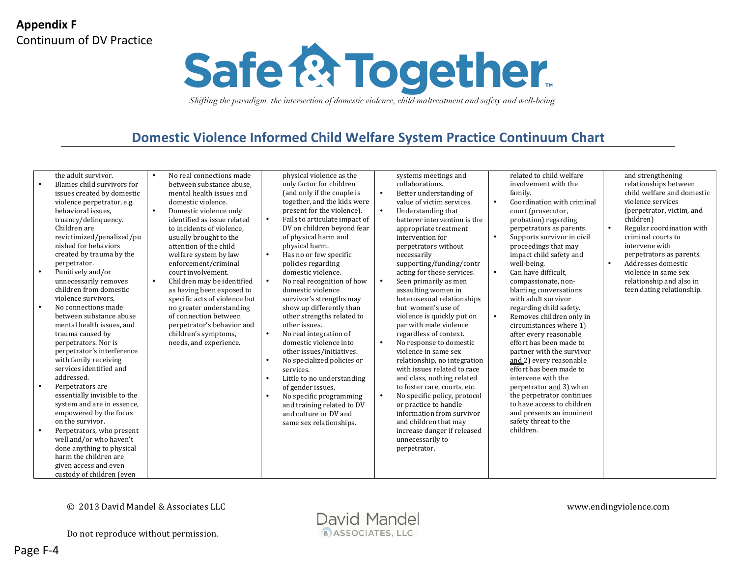

### **Domestic Violence Informed Child Welfare System Practice Continuum Chart**

|           | the adult survivor.          | $\bullet$ | No real connections made      |           | physical violence as the      |           | systems meetings and         |           | related to child welfare   |
|-----------|------------------------------|-----------|-------------------------------|-----------|-------------------------------|-----------|------------------------------|-----------|----------------------------|
| $\bullet$ | Blames child survivors for   |           | between substance abuse.      |           | only factor for children      |           | collaborations.              |           | involvement with the       |
|           | issues created by domestic   |           | mental health issues and      |           | (and only if the couple is    | $\bullet$ | Better understanding of      |           | family.                    |
|           | violence perpetrator, e.g.   |           | domestic violence.            |           | together, and the kids were   |           | value of victim services.    | $\bullet$ | Coordination with criminal |
|           | behavioral issues.           | $\bullet$ | Domestic violence only        |           | present for the violence).    | $\bullet$ | Understanding that           |           | court (prosecutor,         |
|           | truancy/delinquency.         |           | identified as issue related   | $\bullet$ | Fails to articulate impact of |           | batterer intervention is the |           | probation) regarding       |
|           | Children are                 |           | to incidents of violence,     |           | DV on children beyond fear    |           | appropriate treatment        |           | perpetrators as parents.   |
|           | revictimized/penalized/pu    |           | usually brought to the        |           | of physical harm and          |           | intervention for             | $\bullet$ | Supports survivor in civil |
|           | nished for behaviors         |           | attention of the child        |           | physical harm.                |           | perpetrators without         |           | proceedings that may       |
|           | created by trauma by the     |           | welfare system by law         | $\bullet$ | Has no or few specific        |           | necessarily                  |           | impact child safety and    |
|           | perpetrator.                 |           | enforcement/criminal          |           | policies regarding            |           | supporting/funding/contr     |           | well-being.                |
| $\bullet$ | Punitively and/or            |           | court involvement.            |           | domestic violence.            |           | acting for those services.   | $\bullet$ | Can have difficult.        |
|           | unnecessarily removes        | $\bullet$ | Children may be identified    | $\bullet$ | No real recognition of how    | $\bullet$ | Seen primarily as men        |           | compassionate, non-        |
|           | children from domestic       |           | as having been exposed to     |           | domestic violence             |           | assaulting women in          |           | blaming conversations      |
|           | violence survivors.          |           | specific acts of violence but |           | survivor's strengths may      |           | heterosexual relationships   |           | with adult survivor        |
| $\bullet$ | No connections made          |           | no greater understanding      |           | show up differently than      |           | but women's use of           |           | regarding child safety.    |
|           | between substance abuse      |           | of connection between         |           | other strengths related to    |           | violence is quickly put on   | $\bullet$ | Removes children only in   |
|           | mental health issues, and    |           | perpetrator's behavior and    |           | other issues.                 |           | par with male violence       |           | circumstances where 1)     |
|           | trauma caused by             |           | children's symptoms,          | $\bullet$ | No real integration of        |           | regardless of context.       |           | after every reasonable     |
|           | perpetrators. Nor is         |           | needs, and experience.        |           | domestic violence into        | $\bullet$ | No response to domestic      |           | effort has been made to    |
|           | perpetrator's interference   |           |                               |           | other issues/initiatives.     |           | violence in same sex         |           | partner with the survivor  |
|           | with family receiving        |           |                               | $\bullet$ | No specialized policies or    |           | relationship, no integration |           | and 2) every reasonable    |
|           | services identified and      |           |                               |           | services.                     |           | with issues related to race  |           | effort has been made to    |
|           | addressed.                   |           |                               | $\bullet$ | Little to no understanding    |           | and class, nothing related   |           | intervene with the         |
| $\bullet$ | Perpetrators are             |           |                               |           | of gender issues.             |           | to foster care, courts, etc. |           | perpetrator and 3) when    |
|           | essentially invisible to the |           |                               | $\bullet$ | No specific programming       | $\bullet$ | No specific policy, protocol |           | the perpetrator continues  |
|           | system and are in essence,   |           |                               |           | and training related to DV    |           | or practice to handle        |           | to have access to children |
|           | empowered by the focus       |           |                               |           | and culture or DV and         |           | information from survivor    |           | and presents an imminent   |
|           | on the survivor.             |           |                               |           | same sex relationships.       |           | and children that may        |           | safety threat to the       |
| $\bullet$ | Perpetrators, who present    |           |                               |           |                               |           | increase danger if released  |           | children.                  |
|           | well and/or who haven't      |           |                               |           |                               |           | unnecessarily to             |           |                            |
|           | done anything to physical    |           |                               |           |                               |           | perpetrator.                 |           |                            |
|           | harm the children are        |           |                               |           |                               |           |                              |           |                            |
|           | given access and even        |           |                               |           |                               |           |                              |           |                            |
|           | custody of children (even    |           |                               |           |                               |           |                              |           |                            |

© 2013 David Mandel & Associates LLC www.endingviolence.com

Do not reproduce without permission.

and strengthening relationships between child welfare and domestic violence services (perpetrator, victim, and

Regular coordination with criminal courts to intervene with perpetrators as parents. Addresses domestic violence in same sex relationship and also in teen dating relationship.

children)

Page F-4